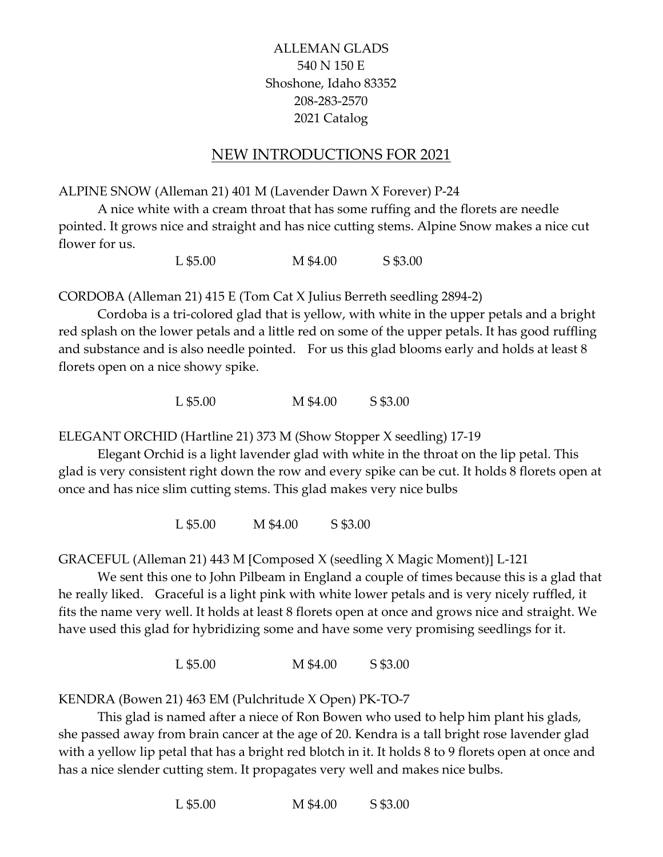# ALLEMAN GLADS 540 N 150 E Shoshone, Idaho 83352 208-283-2570 2021 Catalog

# NEW INTRODUCTIONS FOR 2021

ALPINE SNOW (Alleman 21) 401 M (Lavender Dawn X Forever) P-24

 A nice white with a cream throat that has some ruffing and the florets are needle pointed. It grows nice and straight and has nice cutting stems. Alpine Snow makes a nice cut flower for us.

L \$5.00 M \$4.00 S \$3.00

CORDOBA (Alleman 21) 415 E (Tom Cat X Julius Berreth seedling 2894-2)

 Cordoba is a tri-colored glad that is yellow, with white in the upper petals and a bright red splash on the lower petals and a little red on some of the upper petals. It has good ruffling and substance and is also needle pointed. For us this glad blooms early and holds at least 8 florets open on a nice showy spike.

L \$5.00 M \$4.00 S \$3.00

ELEGANT ORCHID (Hartline 21) 373 M (Show Stopper X seedling) 17-19

 Elegant Orchid is a light lavender glad with white in the throat on the lip petal. This glad is very consistent right down the row and every spike can be cut. It holds 8 florets open at once and has nice slim cutting stems. This glad makes very nice bulbs

L \$5.00 M \$4.00 S \$3.00

GRACEFUL (Alleman 21) 443 M [Composed X (seedling X Magic Moment)] L-121

 We sent this one to John Pilbeam in England a couple of times because this is a glad that he really liked. Graceful is a light pink with white lower petals and is very nicely ruffled, it fits the name very well. It holds at least 8 florets open at once and grows nice and straight. We have used this glad for hybridizing some and have some very promising seedlings for it.

L \$5.00 M \$4.00 S \$3.00

KENDRA (Bowen 21) 463 EM (Pulchritude X Open) PK-TO-7

 This glad is named after a niece of Ron Bowen who used to help him plant his glads, she passed away from brain cancer at the age of 20. Kendra is a tall bright rose lavender glad with a yellow lip petal that has a bright red blotch in it. It holds 8 to 9 florets open at once and has a nice slender cutting stem. It propagates very well and makes nice bulbs.

L \$5.00 M \$4.00 S \$3.00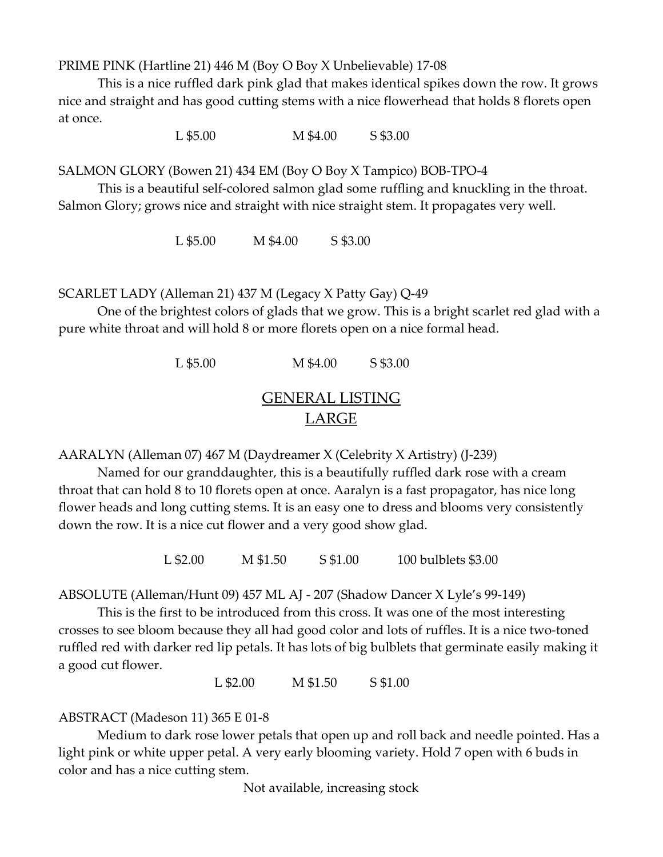PRIME PINK (Hartline 21) 446 M (Boy O Boy X Unbelievable) 17-08

 This is a nice ruffled dark pink glad that makes identical spikes down the row. It grows nice and straight and has good cutting stems with a nice flowerhead that holds 8 florets open at once.

L \$5.00 M \$4.00 S \$3.00

SALMON GLORY (Bowen 21) 434 EM (Boy O Boy X Tampico) BOB-TPO-4

 This is a beautiful self-colored salmon glad some ruffling and knuckling in the throat. Salmon Glory; grows nice and straight with nice straight stem. It propagates very well.

L \$5.00 M \$4.00 S \$3.00

SCARLET LADY (Alleman 21) 437 M (Legacy X Patty Gay) Q-49

 One of the brightest colors of glads that we grow. This is a bright scarlet red glad with a pure white throat and will hold 8 or more florets open on a nice formal head.

> L \$5.00 M \$4.00 S \$3.00 GENERAL LISTING

# LARGE

AARALYN (Alleman 07) 467 M (Daydreamer X (Celebrity X Artistry) (J-239)

Named for our granddaughter, this is a beautifully ruffled dark rose with a cream throat that can hold 8 to 10 florets open at once. Aaralyn is a fast propagator, has nice long flower heads and long cutting stems. It is an easy one to dress and blooms very consistently down the row. It is a nice cut flower and a very good show glad.

L \$2.00 M \$1.50 S \$1.00 100 bulblets \$3.00

ABSOLUTE (Alleman/Hunt 09) 457 ML AJ - 207 (Shadow Dancer X Lyle's 99-149)

This is the first to be introduced from this cross. It was one of the most interesting crosses to see bloom because they all had good color and lots of ruffles. It is a nice two-toned ruffled red with darker red lip petals. It has lots of big bulblets that germinate easily making it a good cut flower.

L \$2.00 M \$1.50 S \$1.00

ABSTRACT (Madeson 11) 365 E 01-8

Medium to dark rose lower petals that open up and roll back and needle pointed. Has a light pink or white upper petal. A very early blooming variety. Hold 7 open with 6 buds in color and has a nice cutting stem.

Not available, increasing stock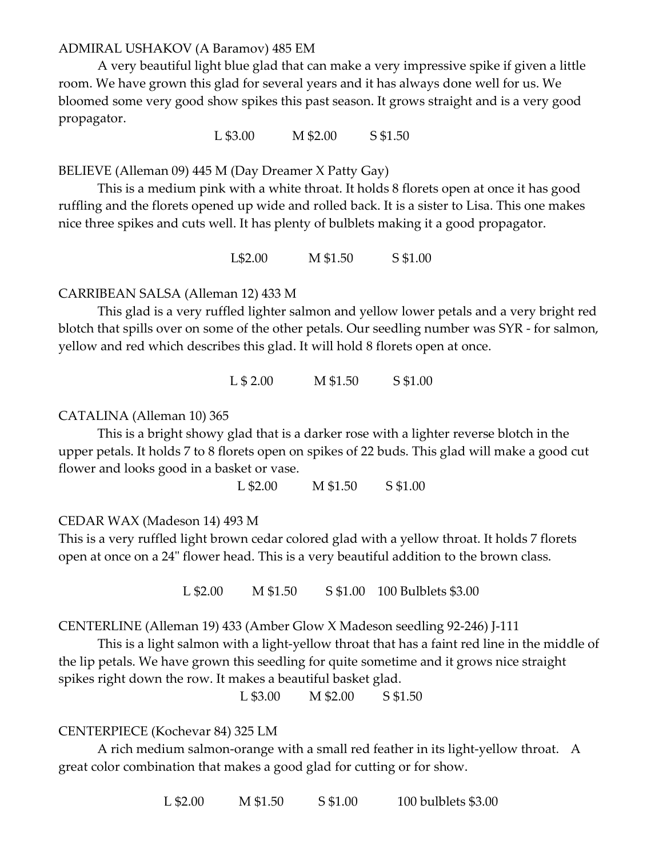# ADMIRAL USHAKOV (A Baramov) 485 EM

 A very beautiful light blue glad that can make a very impressive spike if given a little room. We have grown this glad for several years and it has always done well for us. We bloomed some very good show spikes this past season. It grows straight and is a very good propagator.

L \$3.00 M \$2.00 S \$1.50

BELIEVE (Alleman 09) 445 M (Day Dreamer X Patty Gay)

This is a medium pink with a white throat. It holds 8 florets open at once it has good ruffling and the florets opened up wide and rolled back. It is a sister to Lisa. This one makes nice three spikes and cuts well. It has plenty of bulblets making it a good propagator.

L\$2.00 M \$1.50 S \$1.00

#### CARRIBEAN SALSA (Alleman 12) 433 M

 This glad is a very ruffled lighter salmon and yellow lower petals and a very bright red blotch that spills over on some of the other petals. Our seedling number was SYR - for salmon, yellow and red which describes this glad. It will hold 8 florets open at once.

L \$ 2.00 M \$1.50 S \$1.00

#### CATALINA (Alleman 10) 365

This is a bright showy glad that is a darker rose with a lighter reverse blotch in the upper petals. It holds 7 to 8 florets open on spikes of 22 buds. This glad will make a good cut flower and looks good in a basket or vase.

L \$2.00 M \$1.50 S \$1.00

#### CEDAR WAX (Madeson 14) 493 M

This is a very ruffled light brown cedar colored glad with a yellow throat. It holds 7 florets open at once on a 24" flower head. This is a very beautiful addition to the brown class.

L \$2.00 M \$1.50 S \$1.00 100 Bulblets \$3.00

CENTERLINE (Alleman 19) 433 (Amber Glow X Madeson seedling 92-246) J-111

 This is a light salmon with a light-yellow throat that has a faint red line in the middle of the lip petals. We have grown this seedling for quite sometime and it grows nice straight spikes right down the row. It makes a beautiful basket glad.

L \$3.00 M \$2.00 S \$1.50

#### CENTERPIECE (Kochevar 84) 325 LM

A rich medium salmon-orange with a small red feather in its light-yellow throat. A great color combination that makes a good glad for cutting or for show.

L \$2.00 M \$1.50 S \$1.00 100 bulblets \$3.00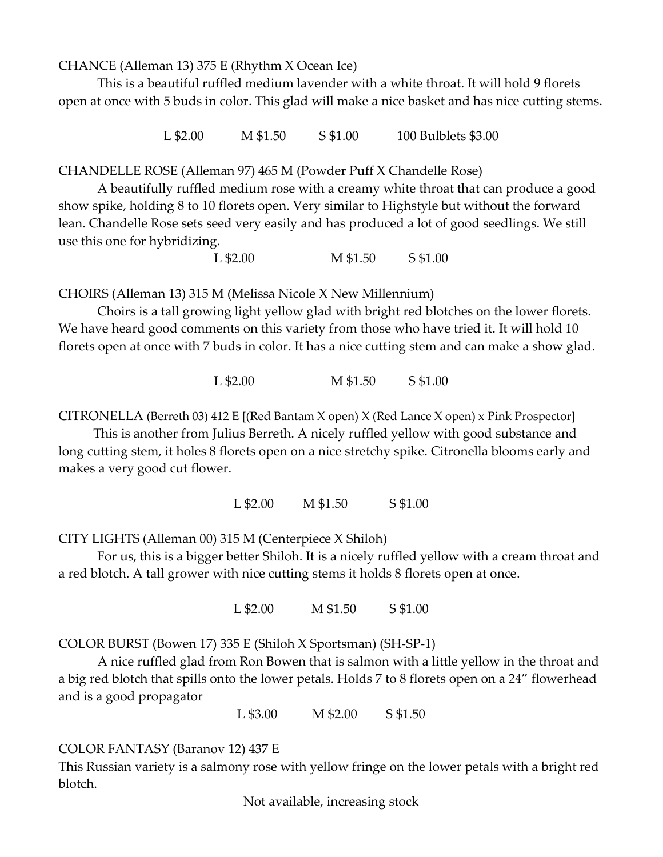CHANCE (Alleman 13) 375 E (Rhythm X Ocean Ice)

This is a beautiful ruffled medium lavender with a white throat. It will hold 9 florets open at once with 5 buds in color. This glad will make a nice basket and has nice cutting stems.

L \$2.00 M \$1.50 S \$1.00 100 Bulblets \$3.00

CHANDELLE ROSE (Alleman 97) 465 M (Powder Puff X Chandelle Rose)

A beautifully ruffled medium rose with a creamy white throat that can produce a good show spike, holding 8 to 10 florets open. Very similar to Highstyle but without the forward lean. Chandelle Rose sets seed very easily and has produced a lot of good seedlings. We still use this one for hybridizing.

L \$2.00 M \$1.50 S \$1.00

CHOIRS (Alleman 13) 315 M (Melissa Nicole X New Millennium)

Choirs is a tall growing light yellow glad with bright red blotches on the lower florets. We have heard good comments on this variety from those who have tried it. It will hold 10 florets open at once with 7 buds in color. It has a nice cutting stem and can make a show glad.

L \$2.00 M \$1.50 S \$1.00

CITRONELLA (Berreth 03) 412 E [(Red Bantam X open) X (Red Lance X open) x Pink Prospector]

 This is another from Julius Berreth. A nicely ruffled yellow with good substance and long cutting stem, it holes 8 florets open on a nice stretchy spike. Citronella blooms early and makes a very good cut flower.

L \$2.00 M \$1.50 S \$1.00

CITY LIGHTS (Alleman 00) 315 M (Centerpiece X Shiloh)

For us, this is a bigger better Shiloh. It is a nicely ruffled yellow with a cream throat and a red blotch. A tall grower with nice cutting stems it holds 8 florets open at once.

L \$2.00 M \$1.50 S \$1.00

COLOR BURST (Bowen 17) 335 E (Shiloh X Sportsman) (SH-SP-1)

 A nice ruffled glad from Ron Bowen that is salmon with a little yellow in the throat and a big red blotch that spills onto the lower petals. Holds 7 to 8 florets open on a 24" flowerhead and is a good propagator

L \$3.00 M \$2.00 S \$1.50

COLOR FANTASY (Baranov 12) 437 E

This Russian variety is a salmony rose with yellow fringe on the lower petals with a bright red blotch.

Not available, increasing stock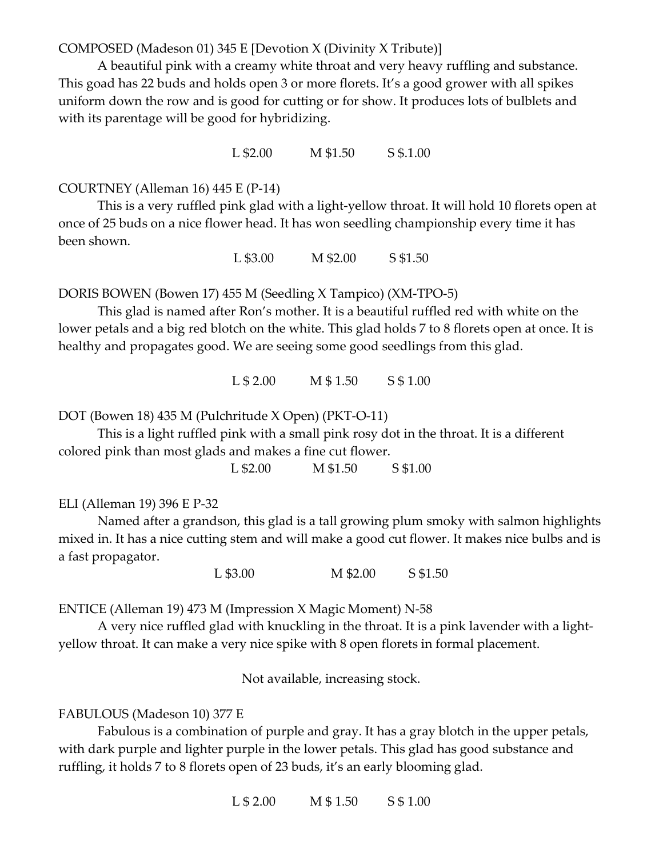COMPOSED (Madeson 01) 345 E [Devotion X (Divinity X Tribute)]

A beautiful pink with a creamy white throat and very heavy ruffling and substance. This goad has 22 buds and holds open 3 or more florets. It's a good grower with all spikes uniform down the row and is good for cutting or for show. It produces lots of bulblets and with its parentage will be good for hybridizing.

L \$2.00 M \$1.50 S \$.1.00

## COURTNEY (Alleman 16) 445 E (P-14)

This is a very ruffled pink glad with a light-yellow throat. It will hold 10 florets open at once of 25 buds on a nice flower head. It has won seedling championship every time it has been shown.

L \$3.00 M \$2.00 S \$1.50

DORIS BOWEN (Bowen 17) 455 M (Seedling X Tampico) (XM-TPO-5)

 This glad is named after Ron's mother. It is a beautiful ruffled red with white on the lower petals and a big red blotch on the white. This glad holds 7 to 8 florets open at once. It is healthy and propagates good. We are seeing some good seedlings from this glad.

L \$ 2.00 M \$ 1.50 S \$ 1.00

DOT (Bowen 18) 435 M (Pulchritude X Open) (PKT-O-11)

This is a light ruffled pink with a small pink rosy dot in the throat. It is a different colored pink than most glads and makes a fine cut flower.

L \$2.00 M \$1.50 S \$1.00

#### ELI (Alleman 19) 396 E P-32

 Named after a grandson, this glad is a tall growing plum smoky with salmon highlights mixed in. It has a nice cutting stem and will make a good cut flower. It makes nice bulbs and is a fast propagator.

L \$3.00 M \$2.00 S \$1.50

ENTICE (Alleman 19) 473 M (Impression X Magic Moment) N-58

 A very nice ruffled glad with knuckling in the throat. It is a pink lavender with a lightyellow throat. It can make a very nice spike with 8 open florets in formal placement.

Not available, increasing stock.

#### FABULOUS (Madeson 10) 377 E

 Fabulous is a combination of purple and gray. It has a gray blotch in the upper petals, with dark purple and lighter purple in the lower petals. This glad has good substance and ruffling, it holds 7 to 8 florets open of 23 buds, it's an early blooming glad.

 $L $ 2.00 \qquad M $ 1.50 \qquad S $ 1.00$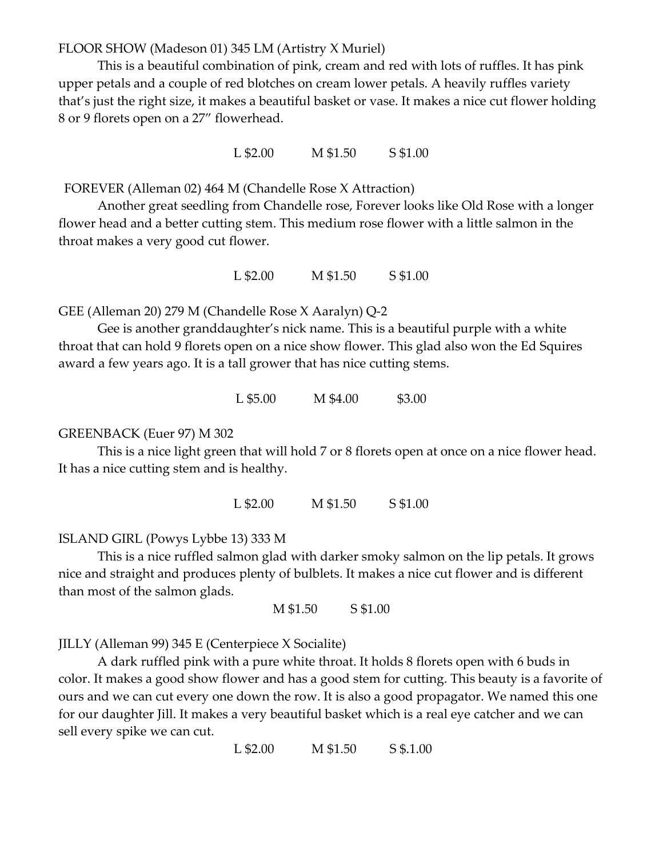FLOOR SHOW (Madeson 01) 345 LM (Artistry X Muriel)

 This is a beautiful combination of pink, cream and red with lots of ruffles. It has pink upper petals and a couple of red blotches on cream lower petals. A heavily ruffles variety that's just the right size, it makes a beautiful basket or vase. It makes a nice cut flower holding 8 or 9 florets open on a 27" flowerhead.

L \$2.00 M \$1.50 S \$1.00

FOREVER (Alleman 02) 464 M (Chandelle Rose X Attraction)

 Another great seedling from Chandelle rose, Forever looks like Old Rose with a longer flower head and a better cutting stem. This medium rose flower with a little salmon in the throat makes a very good cut flower.

L \$2.00 M \$1.50 S \$1.00

GEE (Alleman 20) 279 M (Chandelle Rose X Aaralyn) Q-2

 Gee is another granddaughter's nick name. This is a beautiful purple with a white throat that can hold 9 florets open on a nice show flower. This glad also won the Ed Squires award a few years ago. It is a tall grower that has nice cutting stems.

L \$5.00 M \$4.00 \$3.00

#### GREENBACK (Euer 97) M 302

This is a nice light green that will hold 7 or 8 florets open at once on a nice flower head. It has a nice cutting stem and is healthy.

L \$2.00 M \$1.50 S \$1.00

ISLAND GIRL (Powys Lybbe 13) 333 M

 This is a nice ruffled salmon glad with darker smoky salmon on the lip petals. It grows nice and straight and produces plenty of bulblets. It makes a nice cut flower and is different than most of the salmon glads.

M \$1.50 S \$1.00

JILLY (Alleman 99) 345 E (Centerpiece X Socialite)

A dark ruffled pink with a pure white throat. It holds 8 florets open with 6 buds in color. It makes a good show flower and has a good stem for cutting. This beauty is a favorite of ours and we can cut every one down the row. It is also a good propagator. We named this one for our daughter Jill. It makes a very beautiful basket which is a real eye catcher and we can sell every spike we can cut.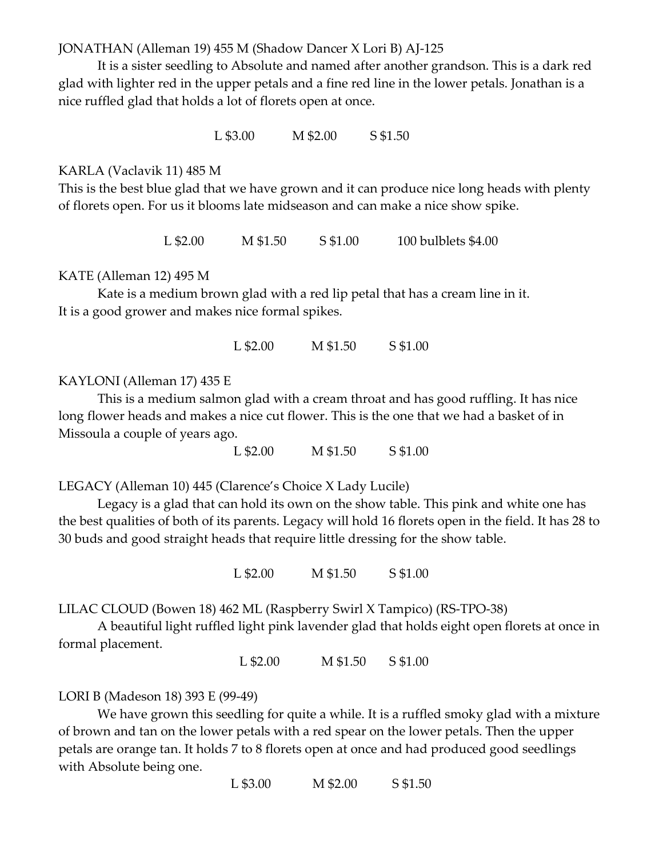JONATHAN (Alleman 19) 455 M (Shadow Dancer X Lori B) AJ-125

 It is a sister seedling to Absolute and named after another grandson. This is a dark red glad with lighter red in the upper petals and a fine red line in the lower petals. Jonathan is a nice ruffled glad that holds a lot of florets open at once.

L \$3.00 M \$2.00 S \$1.50

## KARLA (Vaclavik 11) 485 M

This is the best blue glad that we have grown and it can produce nice long heads with plenty of florets open. For us it blooms late midseason and can make a nice show spike.

L \$2.00 M \$1.50 S \$1.00 100 bulblets \$4.00

#### KATE (Alleman 12) 495 M

 Kate is a medium brown glad with a red lip petal that has a cream line in it. It is a good grower and makes nice formal spikes.

L \$2.00 M \$1.50 S \$1.00

#### KAYLONI (Alleman 17) 435 E

 This is a medium salmon glad with a cream throat and has good ruffling. It has nice long flower heads and makes a nice cut flower. This is the one that we had a basket of in Missoula a couple of years ago.

L \$2.00 M \$1.50 S \$1.00

LEGACY (Alleman 10) 445 (Clarence's Choice X Lady Lucile)

Legacy is a glad that can hold its own on the show table. This pink and white one has the best qualities of both of its parents. Legacy will hold 16 florets open in the field. It has 28 to 30 buds and good straight heads that require little dressing for the show table.

L \$2.00 M \$1.50 S \$1.00

LILAC CLOUD (Bowen 18) 462 ML (Raspberry Swirl X Tampico) (RS-TPO-38)

A beautiful light ruffled light pink lavender glad that holds eight open florets at once in formal placement.

L \$2.00 M \$1.50 S \$1.00

# LORI B (Madeson 18) 393 E (99-49)

We have grown this seedling for quite a while. It is a ruffled smoky glad with a mixture of brown and tan on the lower petals with a red spear on the lower petals. Then the upper petals are orange tan. It holds 7 to 8 florets open at once and had produced good seedlings with Absolute being one.

L \$3.00 M \$2.00 S \$1.50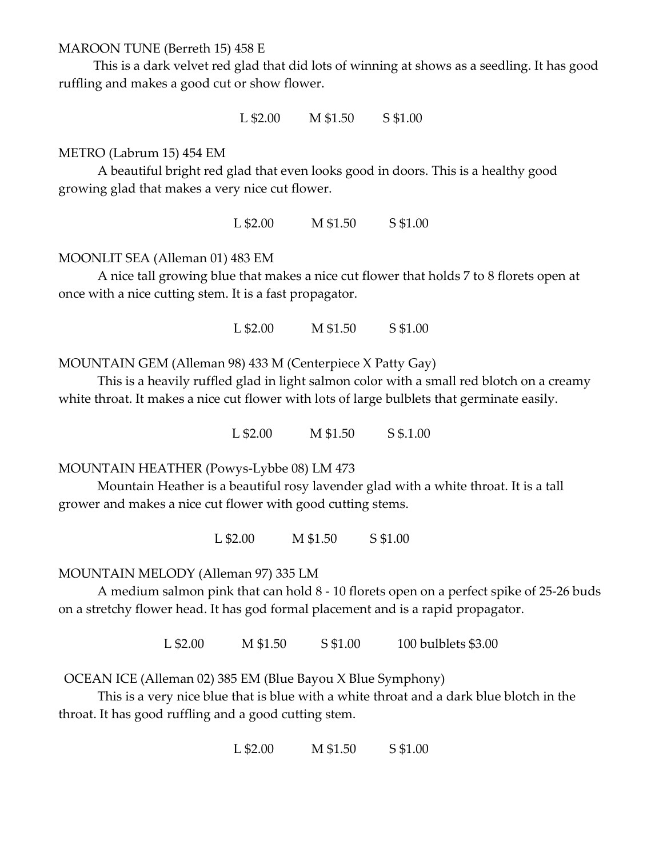# MAROON TUNE (Berreth 15) 458 E

 This is a dark velvet red glad that did lots of winning at shows as a seedling. It has good ruffling and makes a good cut or show flower.

L \$2.00 M \$1.50 S \$1.00

# METRO (Labrum 15) 454 EM

 A beautiful bright red glad that even looks good in doors. This is a healthy good growing glad that makes a very nice cut flower.

L \$2.00 M \$1.50 S \$1.00

# MOONLIT SEA (Alleman 01) 483 EM

 A nice tall growing blue that makes a nice cut flower that holds 7 to 8 florets open at once with a nice cutting stem. It is a fast propagator.

L \$2.00 M \$1.50 S \$1.00

MOUNTAIN GEM (Alleman 98) 433 M (Centerpiece X Patty Gay)

This is a heavily ruffled glad in light salmon color with a small red blotch on a creamy white throat. It makes a nice cut flower with lots of large bulblets that germinate easily.

L \$2.00 M \$1.50 S \$.1.00

MOUNTAIN HEATHER (Powys-Lybbe 08) LM 473

Mountain Heather is a beautiful rosy lavender glad with a white throat. It is a tall grower and makes a nice cut flower with good cutting stems.

L \$2.00 M \$1.50 S \$1.00

# MOUNTAIN MELODY (Alleman 97) 335 LM

A medium salmon pink that can hold 8 - 10 florets open on a perfect spike of 25-26 buds on a stretchy flower head. It has god formal placement and is a rapid propagator.

L \$2.00 M \$1.50 S \$1.00 100 bulblets \$3.00

OCEAN ICE (Alleman 02) 385 EM (Blue Bayou X Blue Symphony)

 This is a very nice blue that is blue with a white throat and a dark blue blotch in the throat. It has good ruffling and a good cutting stem.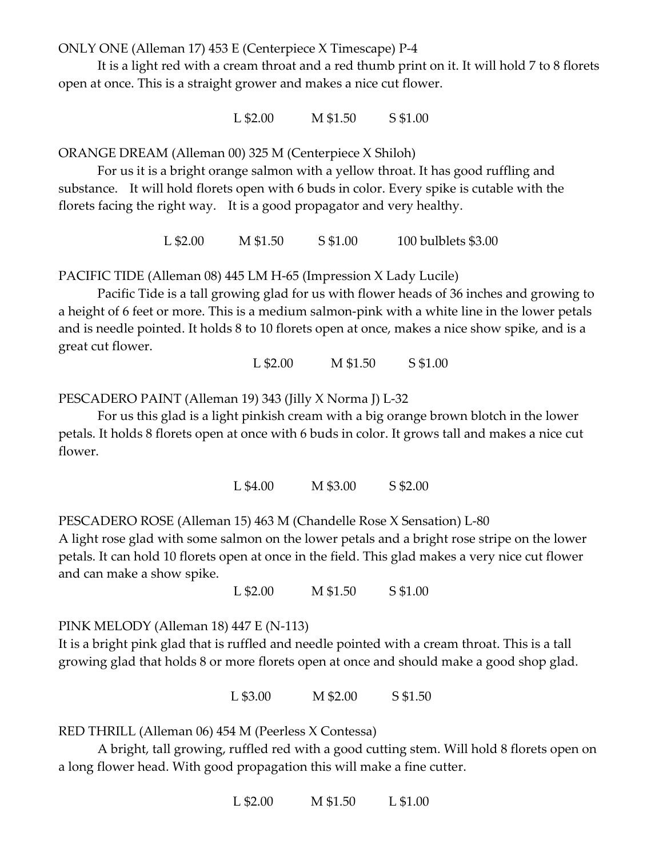ONLY ONE (Alleman 17) 453 E (Centerpiece X Timescape) P-4

 It is a light red with a cream throat and a red thumb print on it. It will hold 7 to 8 florets open at once. This is a straight grower and makes a nice cut flower.

L \$2.00 M \$1.50 S \$1.00

ORANGE DREAM (Alleman 00) 325 M (Centerpiece X Shiloh)

For us it is a bright orange salmon with a yellow throat. It has good ruffling and substance. It will hold florets open with 6 buds in color. Every spike is cutable with the florets facing the right way. It is a good propagator and very healthy.

L \$2.00 M \$1.50 S \$1.00 100 bulblets \$3.00

PACIFIC TIDE (Alleman 08) 445 LM H-65 (Impression X Lady Lucile)

Pacific Tide is a tall growing glad for us with flower heads of 36 inches and growing to a height of 6 feet or more. This is a medium salmon-pink with a white line in the lower petals and is needle pointed. It holds 8 to 10 florets open at once, makes a nice show spike, and is a great cut flower.

L \$2.00 M \$1.50 S \$1.00

PESCADERO PAINT (Alleman 19) 343 (Jilly X Norma J) L-32

 For us this glad is a light pinkish cream with a big orange brown blotch in the lower petals. It holds 8 florets open at once with 6 buds in color. It grows tall and makes a nice cut flower.

L \$4.00 M \$3.00 S \$2.00

PESCADERO ROSE (Alleman 15) 463 M (Chandelle Rose X Sensation) L-80

A light rose glad with some salmon on the lower petals and a bright rose stripe on the lower petals. It can hold 10 florets open at once in the field. This glad makes a very nice cut flower and can make a show spike.

L \$2.00 M \$1.50 S \$1.00

PINK MELODY (Alleman 18) 447 E (N-113)

It is a bright pink glad that is ruffled and needle pointed with a cream throat. This is a tall growing glad that holds 8 or more florets open at once and should make a good shop glad.

L \$3.00 M \$2.00 S \$1.50

RED THRILL (Alleman 06) 454 M (Peerless X Contessa)

 A bright, tall growing, ruffled red with a good cutting stem. Will hold 8 florets open on a long flower head. With good propagation this will make a fine cutter.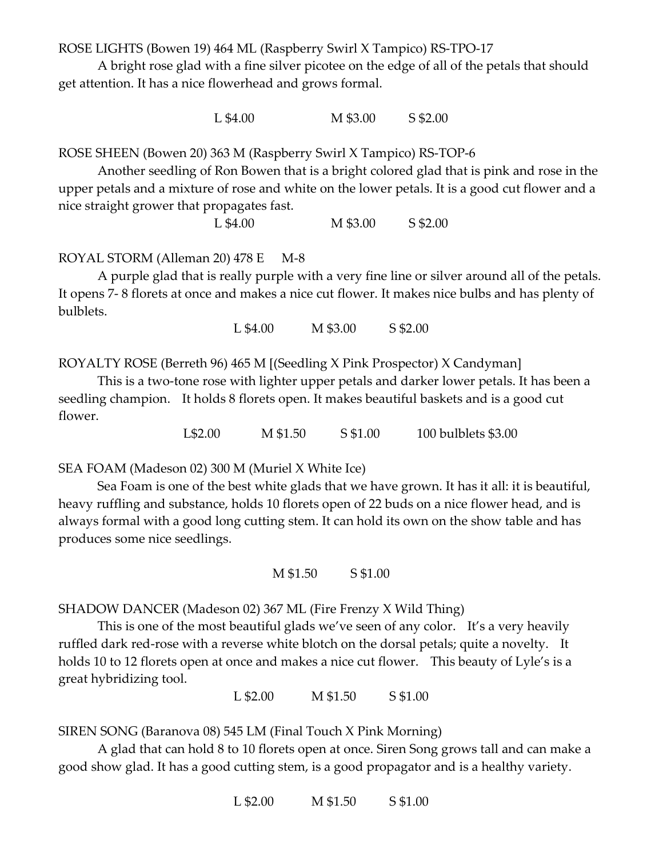ROSE LIGHTS (Bowen 19) 464 ML (Raspberry Swirl X Tampico) RS-TPO-17

 A bright rose glad with a fine silver picotee on the edge of all of the petals that should get attention. It has a nice flowerhead and grows formal.

L \$4.00 M \$3.00 S \$2.00

ROSE SHEEN (Bowen 20) 363 M (Raspberry Swirl X Tampico) RS-TOP-6

 Another seedling of Ron Bowen that is a bright colored glad that is pink and rose in the upper petals and a mixture of rose and white on the lower petals. It is a good cut flower and a nice straight grower that propagates fast.

L \$4.00 M \$3.00 S \$2.00

ROYAL STORM (Alleman 20) 478 E M-8

 A purple glad that is really purple with a very fine line or silver around all of the petals. It opens 7- 8 florets at once and makes a nice cut flower. It makes nice bulbs and has plenty of bulblets.

L \$4.00 M \$3.00 S \$2.00

ROYALTY ROSE (Berreth 96) 465 M [(Seedling X Pink Prospector) X Candyman]

This is a two-tone rose with lighter upper petals and darker lower petals. It has been a seedling champion. It holds 8 florets open. It makes beautiful baskets and is a good cut flower.

L\$2.00 M \$1.50 S \$1.00 100 bulblets \$3.00

SEA FOAM (Madeson 02) 300 M (Muriel X White Ice)

Sea Foam is one of the best white glads that we have grown. It has it all: it is beautiful, heavy ruffling and substance, holds 10 florets open of 22 buds on a nice flower head, and is always formal with a good long cutting stem. It can hold its own on the show table and has produces some nice seedlings.

M \$1.50 S \$1.00

SHADOW DANCER (Madeson 02) 367 ML (Fire Frenzy X Wild Thing)

 This is one of the most beautiful glads we've seen of any color. It's a very heavily ruffled dark red-rose with a reverse white blotch on the dorsal petals; quite a novelty. It holds 10 to 12 florets open at once and makes a nice cut flower. This beauty of Lyle's is a great hybridizing tool.

L \$2.00 M \$1.50 S \$1.00

SIREN SONG (Baranova 08) 545 LM (Final Touch X Pink Morning)

 A glad that can hold 8 to 10 florets open at once. Siren Song grows tall and can make a good show glad. It has a good cutting stem, is a good propagator and is a healthy variety.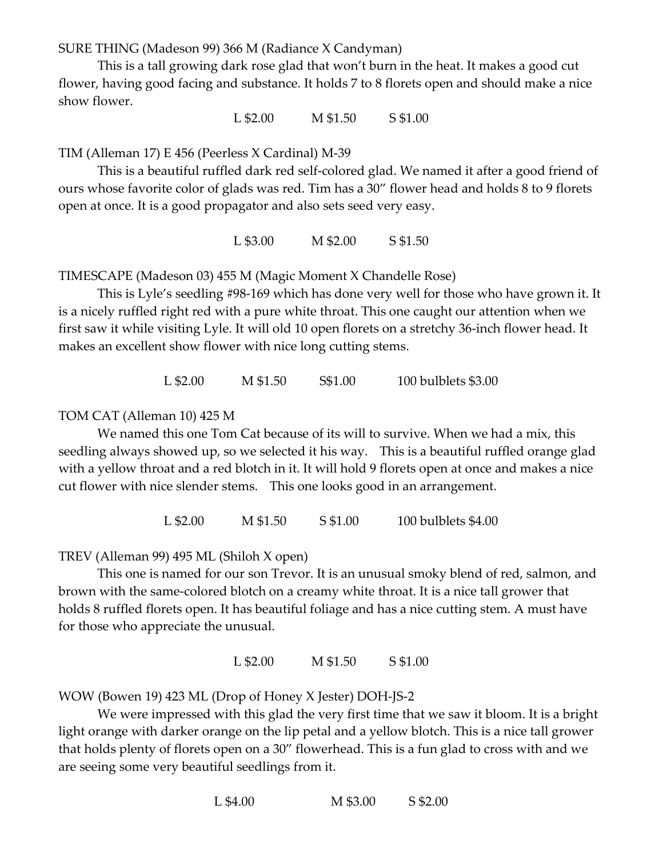SURE THING (Madeson 99) 366 M (Radiance X Candyman)

 This is a tall growing dark rose glad that won't burn in the heat. It makes a good cut flower, having good facing and substance. It holds 7 to 8 florets open and should make a nice show flower.

L \$2.00 M \$1.50 S \$1.00

TIM (Alleman 17) E 456 (Peerless X Cardinal) M-39

 This is a beautiful ruffled dark red self-colored glad. We named it after a good friend of ours whose favorite color of glads was red. Tim has a 30" flower head and holds 8 to 9 florets open at once. It is a good propagator and also sets seed very easy.

L \$3.00 M \$2.00 S \$1.50

TIMESCAPE (Madeson 03) 455 M (Magic Moment X Chandelle Rose)

This is Lyle's seedling #98-169 which has done very well for those who have grown it. It is a nicely ruffled right red with a pure white throat. This one caught our attention when we first saw it while visiting Lyle. It will old 10 open florets on a stretchy 36-inch flower head. It makes an excellent show flower with nice long cutting stems.

L \$2.00 M \$1.50 S\$1.00 100 bulblets \$3.00

#### TOM CAT (Alleman 10) 425 M

We named this one Tom Cat because of its will to survive. When we had a mix, this seedling always showed up, so we selected it his way. This is a beautiful ruffled orange glad with a yellow throat and a red blotch in it. It will hold 9 florets open at once and makes a nice cut flower with nice slender stems. This one looks good in an arrangement.

L \$2.00 M \$1.50 S \$1.00 100 bulblets \$4.00

TREV (Alleman 99) 495 ML (Shiloh X open)

This one is named for our son Trevor. It is an unusual smoky blend of red, salmon, and brown with the same-colored blotch on a creamy white throat. It is a nice tall grower that holds 8 ruffled florets open. It has beautiful foliage and has a nice cutting stem. A must have for those who appreciate the unusual.

L \$2.00 M \$1.50 S \$1.00

WOW (Bowen 19) 423 ML (Drop of Honey X Jester) DOH-JS-2

 We were impressed with this glad the very first time that we saw it bloom. It is a bright light orange with darker orange on the lip petal and a yellow blotch. This is a nice tall grower that holds plenty of florets open on a 30" flowerhead. This is a fun glad to cross with and we are seeing some very beautiful seedlings from it.

L \$4.00 M \$3.00 S \$2.00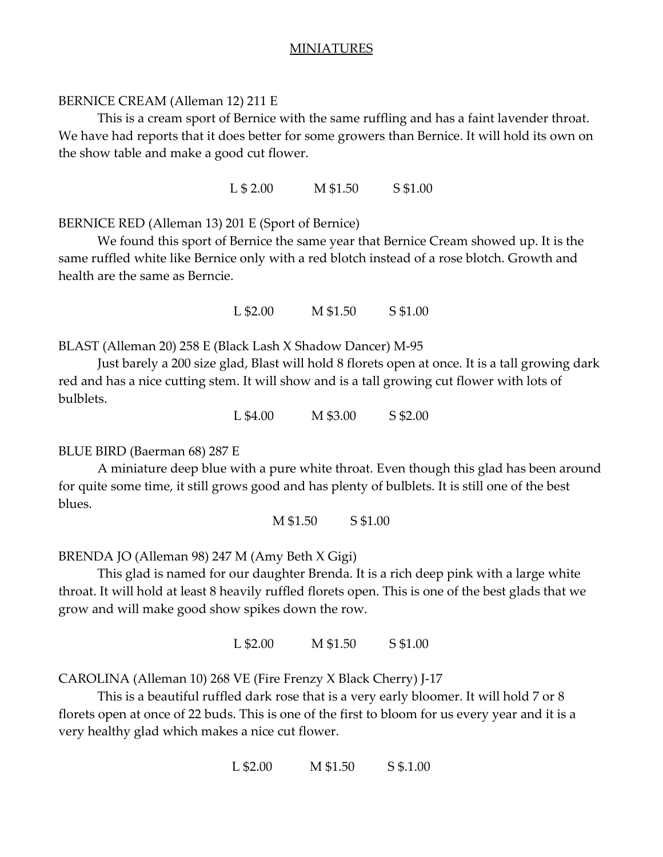# MINIATURES

# BERNICE CREAM (Alleman 12) 211 E

This is a cream sport of Bernice with the same ruffling and has a faint lavender throat. We have had reports that it does better for some growers than Bernice. It will hold its own on the show table and make a good cut flower.

L \$ 2.00 M \$1.50 S \$1.00

# BERNICE RED (Alleman 13) 201 E (Sport of Bernice)

We found this sport of Bernice the same year that Bernice Cream showed up. It is the same ruffled white like Bernice only with a red blotch instead of a rose blotch. Growth and health are the same as Berncie.

L \$2.00 M \$1.50 S \$1.00

BLAST (Alleman 20) 258 E (Black Lash X Shadow Dancer) M-95

 Just barely a 200 size glad, Blast will hold 8 florets open at once. It is a tall growing dark red and has a nice cutting stem. It will show and is a tall growing cut flower with lots of bulblets.

L \$4.00 M \$3.00 S \$2.00

# BLUE BIRD (Baerman 68) 287 E

 A miniature deep blue with a pure white throat. Even though this glad has been around for quite some time, it still grows good and has plenty of bulblets. It is still one of the best blues.

M \$1.50 S \$1.00

BRENDA JO (Alleman 98) 247 M (Amy Beth X Gigi)

This glad is named for our daughter Brenda. It is a rich deep pink with a large white throat. It will hold at least 8 heavily ruffled florets open. This is one of the best glads that we grow and will make good show spikes down the row.

L \$2.00 M \$1.50 S \$1.00

CAROLINA (Alleman 10) 268 VE (Fire Frenzy X Black Cherry) J-17

This is a beautiful ruffled dark rose that is a very early bloomer. It will hold 7 or 8 florets open at once of 22 buds. This is one of the first to bloom for us every year and it is a very healthy glad which makes a nice cut flower.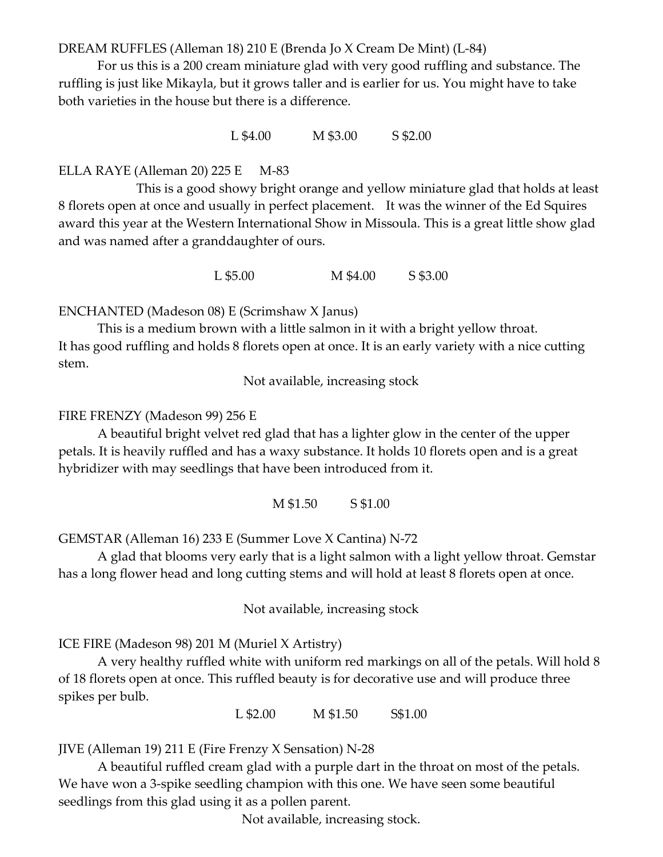DREAM RUFFLES (Alleman 18) 210 E (Brenda Jo X Cream De Mint) (L-84)

For us this is a 200 cream miniature glad with very good ruffling and substance. The ruffling is just like Mikayla, but it grows taller and is earlier for us. You might have to take both varieties in the house but there is a difference.

L \$4.00 M \$3.00 S \$2.00

# ELLA RAYE (Alleman 20) 225 E M-83

 This is a good showy bright orange and yellow miniature glad that holds at least 8 florets open at once and usually in perfect placement. It was the winner of the Ed Squires award this year at the Western International Show in Missoula. This is a great little show glad and was named after a granddaughter of ours.

L \$5.00 M \$4.00 S \$3.00

ENCHANTED (Madeson 08) E (Scrimshaw X Janus)

This is a medium brown with a little salmon in it with a bright yellow throat. It has good ruffling and holds 8 florets open at once. It is an early variety with a nice cutting stem.

Not available, increasing stock

#### FIRE FRENZY (Madeson 99) 256 E

 A beautiful bright velvet red glad that has a lighter glow in the center of the upper petals. It is heavily ruffled and has a waxy substance. It holds 10 florets open and is a great hybridizer with may seedlings that have been introduced from it.

M \$1.50 S \$1.00

GEMSTAR (Alleman 16) 233 E (Summer Love X Cantina) N-72

A glad that blooms very early that is a light salmon with a light yellow throat. Gemstar has a long flower head and long cutting stems and will hold at least 8 florets open at once.

Not available, increasing stock

ICE FIRE (Madeson 98) 201 M (Muriel X Artistry)

A very healthy ruffled white with uniform red markings on all of the petals. Will hold 8 of 18 florets open at once. This ruffled beauty is for decorative use and will produce three spikes per bulb.

L \$2.00 M \$1.50 S\$1.00

JIVE (Alleman 19) 211 E (Fire Frenzy X Sensation) N-28

 A beautiful ruffled cream glad with a purple dart in the throat on most of the petals. We have won a 3-spike seedling champion with this one. We have seen some beautiful seedlings from this glad using it as a pollen parent.

Not available, increasing stock.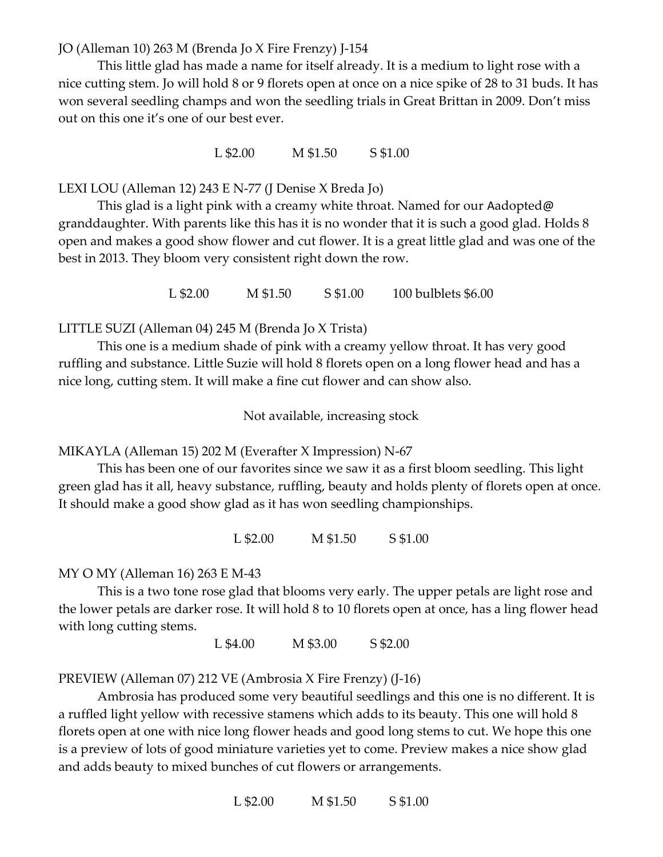JO (Alleman 10) 263 M (Brenda Jo X Fire Frenzy) J-154

This little glad has made a name for itself already. It is a medium to light rose with a nice cutting stem. Jo will hold 8 or 9 florets open at once on a nice spike of 28 to 31 buds. It has won several seedling champs and won the seedling trials in Great Brittan in 2009. Don't miss out on this one it's one of our best ever.

L \$2.00 M \$1.50 S \$1.00

LEXI LOU (Alleman 12) 243 E N-77 (J Denise X Breda Jo)

This glad is a light pink with a creamy white throat. Named for our Aadopted@ granddaughter. With parents like this has it is no wonder that it is such a good glad. Holds 8 open and makes a good show flower and cut flower. It is a great little glad and was one of the best in 2013. They bloom very consistent right down the row.

L \$2.00 M \$1.50 S \$1.00 100 bulblets \$6.00

LITTLE SUZI (Alleman 04) 245 M (Brenda Jo X Trista)

This one is a medium shade of pink with a creamy yellow throat. It has very good ruffling and substance. Little Suzie will hold 8 florets open on a long flower head and has a nice long, cutting stem. It will make a fine cut flower and can show also.

Not available, increasing stock

MIKAYLA (Alleman 15) 202 M (Everafter X Impression) N-67

This has been one of our favorites since we saw it as a first bloom seedling. This light green glad has it all, heavy substance, ruffling, beauty and holds plenty of florets open at once. It should make a good show glad as it has won seedling championships.

L \$2.00 M \$1.50 S \$1.00

MY O MY (Alleman 16) 263 E M-43

This is a two tone rose glad that blooms very early. The upper petals are light rose and the lower petals are darker rose. It will hold 8 to 10 florets open at once, has a ling flower head with long cutting stems.

L \$4.00 M \$3.00 S \$2.00

PREVIEW (Alleman 07) 212 VE (Ambrosia X Fire Frenzy) (J-16)

Ambrosia has produced some very beautiful seedlings and this one is no different. It is a ruffled light yellow with recessive stamens which adds to its beauty. This one will hold 8 florets open at one with nice long flower heads and good long stems to cut. We hope this one is a preview of lots of good miniature varieties yet to come. Preview makes a nice show glad and adds beauty to mixed bunches of cut flowers or arrangements.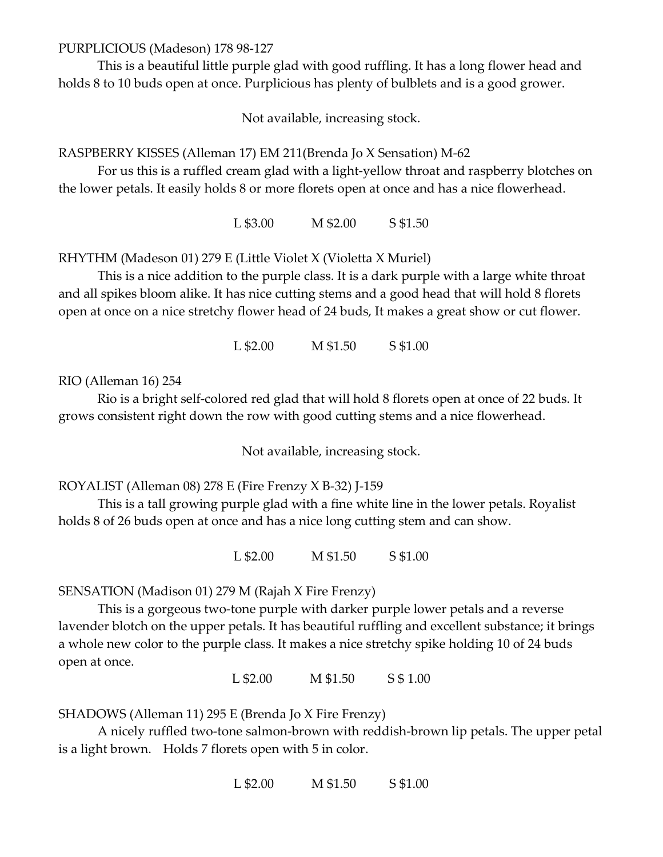PURPLICIOUS (Madeson) 178 98-127

This is a beautiful little purple glad with good ruffling. It has a long flower head and holds 8 to 10 buds open at once. Purplicious has plenty of bulblets and is a good grower.

Not available, increasing stock.

RASPBERRY KISSES (Alleman 17) EM 211(Brenda Jo X Sensation) M-62

 For us this is a ruffled cream glad with a light-yellow throat and raspberry blotches on the lower petals. It easily holds 8 or more florets open at once and has a nice flowerhead.

L \$3.00 M \$2.00 S \$1.50

RHYTHM (Madeson 01) 279 E (Little Violet X (Violetta X Muriel)

 This is a nice addition to the purple class. It is a dark purple with a large white throat and all spikes bloom alike. It has nice cutting stems and a good head that will hold 8 florets open at once on a nice stretchy flower head of 24 buds, It makes a great show or cut flower.

L \$2.00 M \$1.50 S \$1.00

RIO (Alleman 16) 254

Rio is a bright self-colored red glad that will hold 8 florets open at once of 22 buds. It grows consistent right down the row with good cutting stems and a nice flowerhead.

Not available, increasing stock.

ROYALIST (Alleman 08) 278 E (Fire Frenzy X B-32) J-159

 This is a tall growing purple glad with a fine white line in the lower petals. Royalist holds 8 of 26 buds open at once and has a nice long cutting stem and can show.

L \$2.00 M \$1.50 S \$1.00

SENSATION (Madison 01) 279 M (Rajah X Fire Frenzy)

 This is a gorgeous two-tone purple with darker purple lower petals and a reverse lavender blotch on the upper petals. It has beautiful ruffling and excellent substance; it brings a whole new color to the purple class. It makes a nice stretchy spike holding 10 of 24 buds open at once.

L \$2.00 M \$1.50 S \$ 1.00

SHADOWS (Alleman 11) 295 E (Brenda Jo X Fire Frenzy)

 A nicely ruffled two-tone salmon-brown with reddish-brown lip petals. The upper petal is a light brown. Holds 7 florets open with 5 in color.